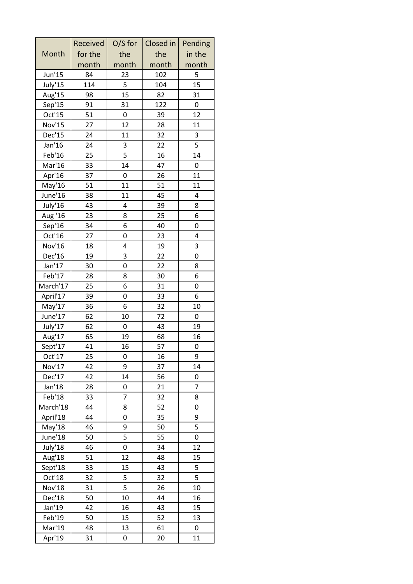|          | Received | $O/S$ for | Closed in | Pending        |
|----------|----------|-----------|-----------|----------------|
| Month    | for the  | the       | the       | in the         |
|          | month    | month     | month     | month          |
| Jun'15   | 84       | 23        | 102       | 5              |
| July'15  | 114      | 5         | 104       | 15             |
| Aug'15   | 98       | 15        | 82        | 31             |
| Sep'15   | 91       | 31        | 122       | 0              |
| Oct'15   | 51       | 0         | 39        | 12             |
| Nov'15   | 27       | 12        | 28        | 11             |
| Dec'15   | 24       | 11        | 32        | 3              |
| Jan'16   | 24       | 3         | 22        | 5              |
| Feb'16   | 25       | 5         | 16        | 14             |
| Mar'16   | 33       | 14        | 47        | 0              |
| Apr'16   | 37       | 0         | 26        | 11             |
| May'16   | 51       | 11        | 51        | 11             |
| June'16  | 38       | 11        | 45        | 4              |
| July'16  | 43       | 4         | 39        | 8              |
| Aug '16  | 23       | 8         | 25        | 6              |
| Sep'16   | 34       | 6         | 40        | 0              |
| Oct'16   | 27       | 0         | 23        | 4              |
| Nov'16   | 18       | 4         | 19        | 3              |
| Dec'16   | 19       | 3         | 22        | 0              |
| Jan'17   | 30       | 0         | 22        | 8              |
| Feb'17   | 28       | 8         | 30        | 6              |
| March'17 | 25       | 6         | 31        | 0              |
| April'17 | 39       | 0         | 33        | 6              |
| May'17   | 36       | 6         | 32        | 10             |
| June'17  | 62       | 10        | 72        | 0              |
| July'17  | 62       | 0         | 43        | 19             |
| Aug'17   | 65       | 19        | 68        | 16             |
| Sept'17  | 41       | 16        | 57        | 0              |
| Oct'17   | 25       | 0         | 16        | 9              |
| Nov'17   | 42       | 9         | 37        | 14             |
| Dec'17   | 42       | 14        | 56        | 0              |
| Jan'18   | 28       | 0         | 21        | $\overline{7}$ |
| Feb'18   | 33       | 7         | 32        | 8              |
| March'18 | 44       | 8         | 52        | 0              |
| April'18 | 44       | 0         | 35        | 9              |
| May'18   | 46       | 9         | 50        | 5              |
| June'18  | 50       | 5         | 55        | 0              |
| July'18  | 46       | 0         | 34        | 12             |
| Aug'18   | 51       | 12        | 48        | 15             |
| Sept'18  | 33       | 15        | 43        | 5              |
| Oct'18   | 32       | 5         | 32        | 5              |
| Nov'18   | 31       | 5         | 26        | 10             |
| Dec'18   | 50       | 10        | 44        | 16             |
| Jan'19   | 42       | 16        | 43        | 15             |
| Feb'19   | 50       | 15        | 52        | 13             |
| Mar'19   | 48       | 13        | 61        | 0              |
| Apr'19   | 31       | 0         | 20        | 11             |